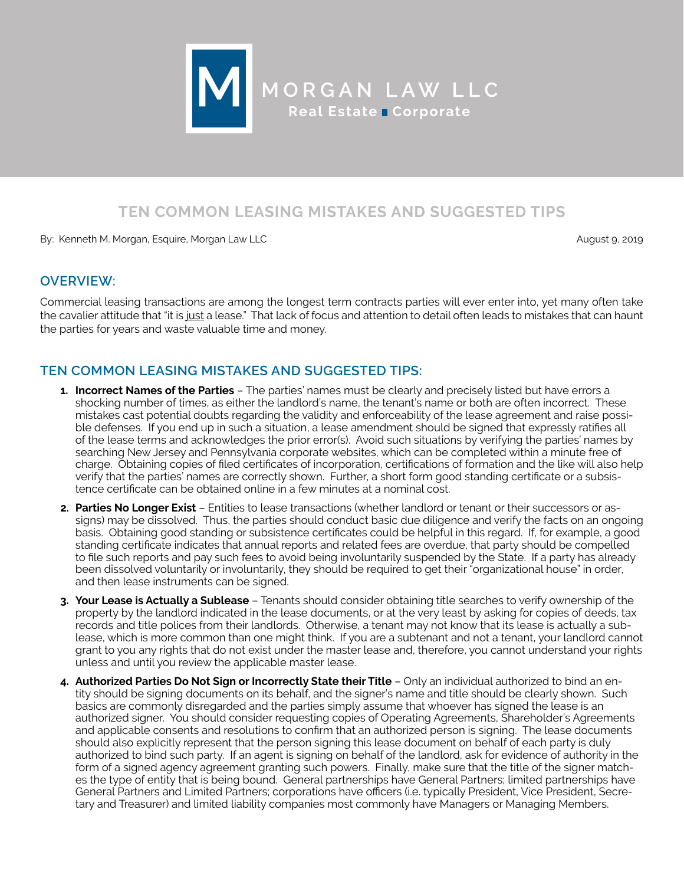

# **TEN COMMON LEASING MISTAKES AND SUGGESTED TIPS**

By: Kenneth M. Morgan, Esquire, Morgan Law LLC August 9, 2019

### **OVERVIEW:**

Commercial leasing transactions are among the longest term contracts parties will ever enter into, yet many often take the cavalier attitude that "it is just a lease." That lack of focus and attention to detail often leads to mistakes that can haunt the parties for years and waste valuable time and money.

# **TEN COMMON LEASING MISTAKES AND SUGGESTED TIPS:**

- **1. Incorrect Names of the Parties** The parties' names must be clearly and precisely listed but have errors a shocking number of times, as either the landlord's name, the tenant's name or both are often incorrect. These mistakes cast potential doubts regarding the validity and enforceability of the lease agreement and raise possible defenses. If you end up in such a situation, a lease amendment should be signed that expressly ratifies all of the lease terms and acknowledges the prior error(s). Avoid such situations by verifying the parties' names by searching New Jersey and Pennsylvania corporate websites, which can be completed within a minute free of charge. Obtaining copies of filed certificates of incorporation, certifications of formation and the like will also help verify that the parties' names are correctly shown. Further, a short form good standing certificate or a subsistence certificate can be obtained online in a few minutes at a nominal cost.
- **2. Parties No Longer Exist** Entities to lease transactions (whether landlord or tenant or their successors or assigns) may be dissolved. Thus, the parties should conduct basic due diligence and verify the facts on an ongoing basis. Obtaining good standing or subsistence certificates could be helpful in this regard. If, for example, a good standing certificate indicates that annual reports and related fees are overdue, that party should be compelled to file such reports and pay such fees to avoid being involuntarily suspended by the State. If a party has already been dissolved voluntarily or involuntarily, they should be required to get their "organizational house" in order, and then lease instruments can be signed.
- **3. Your Lease is Actually a Sublease** Tenants should consider obtaining title searches to verify ownership of the property by the landlord indicated in the lease documents, or at the very least by asking for copies of deeds, tax records and title polices from their landlords. Otherwise, a tenant may not know that its lease is actually a sublease, which is more common than one might think. If you are a subtenant and not a tenant, your landlord cannot grant to you any rights that do not exist under the master lease and, therefore, you cannot understand your rights unless and until you review the applicable master lease.
- **4. Authorized Parties Do Not Sign or Incorrectly State their Title** Only an individual authorized to bind an entity should be signing documents on its behalf, and the signer's name and title should be clearly shown. Such basics are commonly disregarded and the parties simply assume that whoever has signed the lease is an authorized signer. You should consider requesting copies of Operating Agreements, Shareholder's Agreements and applicable consents and resolutions to confirm that an authorized person is signing. The lease documents should also explicitly represent that the person signing this lease document on behalf of each party is duly authorized to bind such party. If an agent is signing on behalf of the landlord, ask for evidence of authority in the form of a signed agency agreement granting such powers. Finally, make sure that the title of the signer matches the type of entity that is being bound. General partnerships have General Partners; limited partnerships have General Partners and Limited Partners; corporations have officers (i.e. typically President, Vice President, Secretary and Treasurer) and limited liability companies most commonly have Managers or Managing Members.